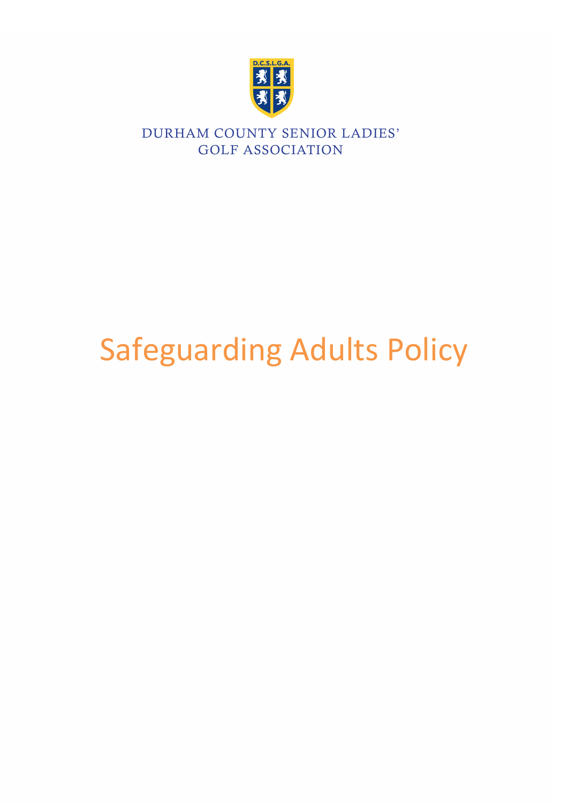

# Safeguarding Adults Policy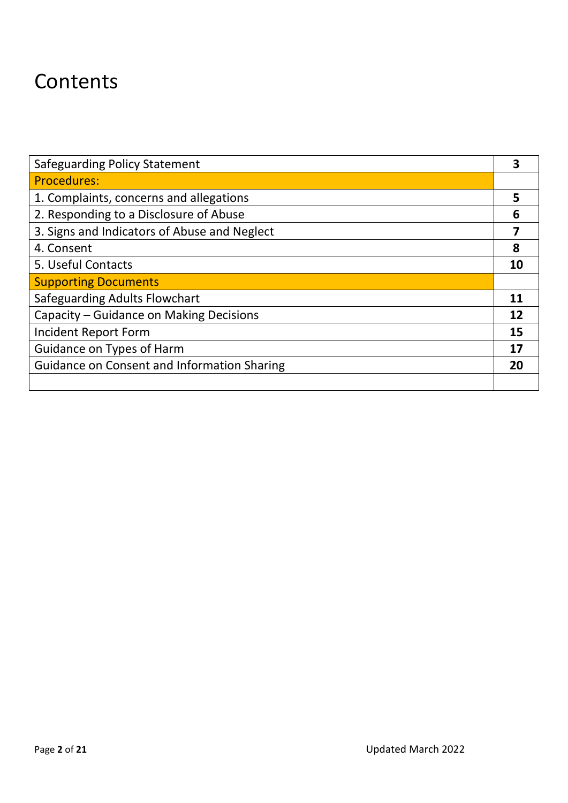# **Contents**

| <b>Safeguarding Policy Statement</b>               |    |
|----------------------------------------------------|----|
| <b>Procedures:</b>                                 |    |
| 1. Complaints, concerns and allegations            | 5  |
| 2. Responding to a Disclosure of Abuse             | 6  |
| 3. Signs and Indicators of Abuse and Neglect       |    |
| 4. Consent                                         | 8  |
| 5. Useful Contacts                                 | 10 |
| <b>Supporting Documents</b>                        |    |
| <b>Safeguarding Adults Flowchart</b>               | 11 |
| Capacity – Guidance on Making Decisions            | 12 |
| Incident Report Form                               | 15 |
| Guidance on Types of Harm                          | 17 |
| <b>Guidance on Consent and Information Sharing</b> | 20 |
|                                                    |    |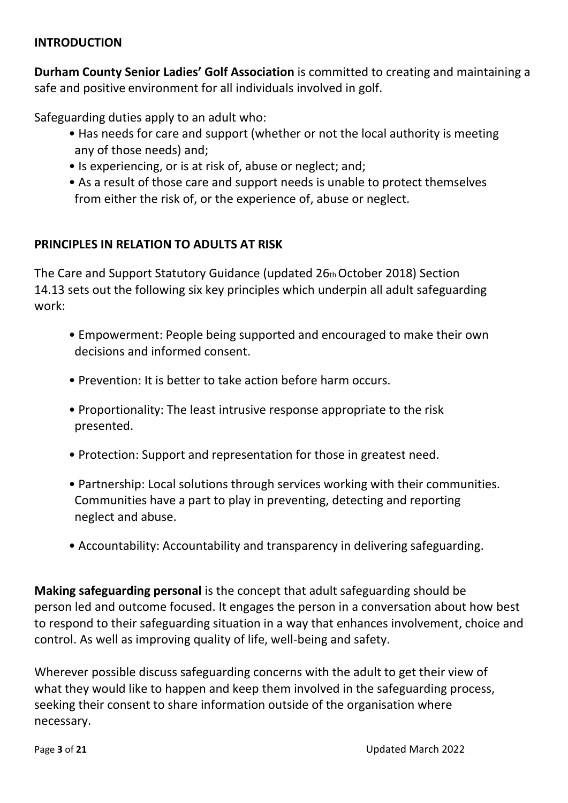#### **INTRODUCTION**

**Durham County Senior Ladies' Golf Association** is committed to creating and maintaining a safe and positive environment for all individuals involved in golf.

Safeguarding duties apply to an adult who:

- Has needs for care and support (whether or not the local authority is meeting any of those needs) and;
- Is experiencing, or is at risk of, abuse or neglect; and;
- As a result of those care and support needs is unable to protect themselves from either the risk of, or the experience of, abuse or neglect.

## **PRINCIPLES IN RELATION TO ADULTS AT RISK**

The Care and Support Statutory Guidance (updated 26th October 2018) Section 14.13 sets out the following six key principles which underpin all adult safeguarding work:

- Empowerment: People being supported and encouraged to make their own decisions and informed consent.
- Prevention: It is better to take action before harm occurs.
- Proportionality: The least intrusive response appropriate to the risk presented.
- Protection: Support and representation for those in greatest need.
- Partnership: Local solutions through services working with their communities. Communities have a part to play in preventing, detecting and reporting neglect and abuse.
- Accountability: Accountability and transparency in delivering safeguarding.

**Making safeguarding personal** is the concept that adult safeguarding should be person led and outcome focused. It engages the person in a conversation about how best to respond to their safeguarding situation in a way that enhances involvement, choice and control. As well as improving quality of life, well-being and safety[.](https://www.englandgolf.org/wp-content/uploads/2018/10/England-Golf-Safeguarding-Adults-Policy-v1.pdf#page=10)

Wherever possible discuss safeguarding concerns with the adult to get their view of what they would like to happen and keep them involved in the safeguarding process, seeking their consent to share information outside of the organisation where necessary.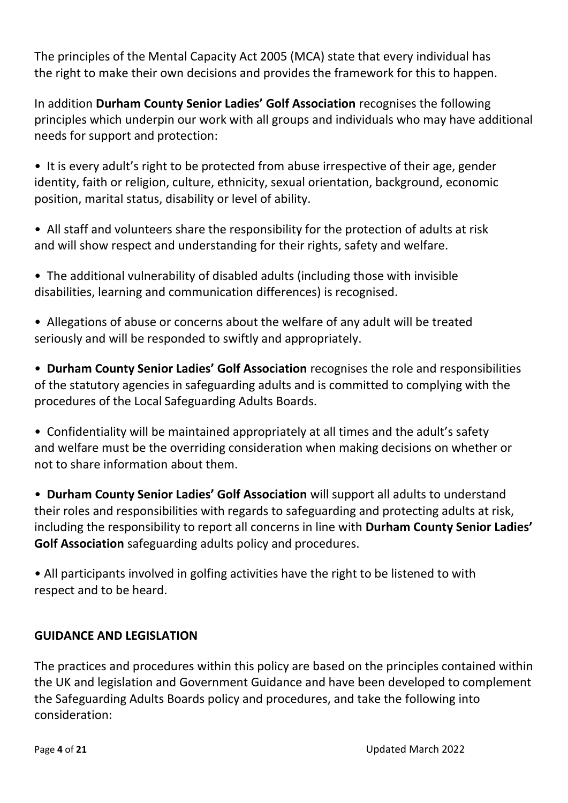The principles of the Mental Capacity Act 2005 (MCA) state that every individual has the right to make their own decisions and provides the framework for this to happen.

In addition **Durham County Senior Ladies' Golf Association** recognises the following principles which underpin our work with all groups and individuals who may have additional needs for support and protection:

• It is every adult's right to be protected from abuse irrespective of their age, gender identity, faith or religion, culture, ethnicity, sexual orientation, background, economic position, marital status, disability or level of ability.

• All staff and volunteers share the responsibility for the protection of adults at risk and will show respect and understanding for their rights, safety and welfare.

• The additional vulnerability of disabled adults (including those with invisible disabilities, learning and communication differences) is recognised.

• Allegations of abuse or concerns about the welfare of any adult will be treated seriously and will be responded to swiftly and appropriately.

• **Durham County Senior Ladies' Golf Association** recognises the role and responsibilities of the statutory agencies in safeguarding adults and is committed to complying with the procedures of the Local Safeguarding Adults Boards.

• Confidentiality will be maintained appropriately at all times and the adult's safety and welfare must be the overriding consideration when making decisions on whether or not to share information about them.

• **Durham County Senior Ladies' Golf Association** will support all adults to understand their roles and responsibilities with regards to safeguarding and protecting adults at risk, including the responsibility to report all concerns in line with **Durham County Senior Ladies' Golf Association** safeguarding adults policy and procedures.

• All participants involved in golfing activities have the right to be listened to with respect and to be heard.

# **GUIDANCE AND LEGISLATION**

The practices and procedures within this policy are based on the principles contained within the UK and legislation and Government Guidance and have been developed to complement the Safeguarding Adults Boards policy and procedures, and take the following into consideration: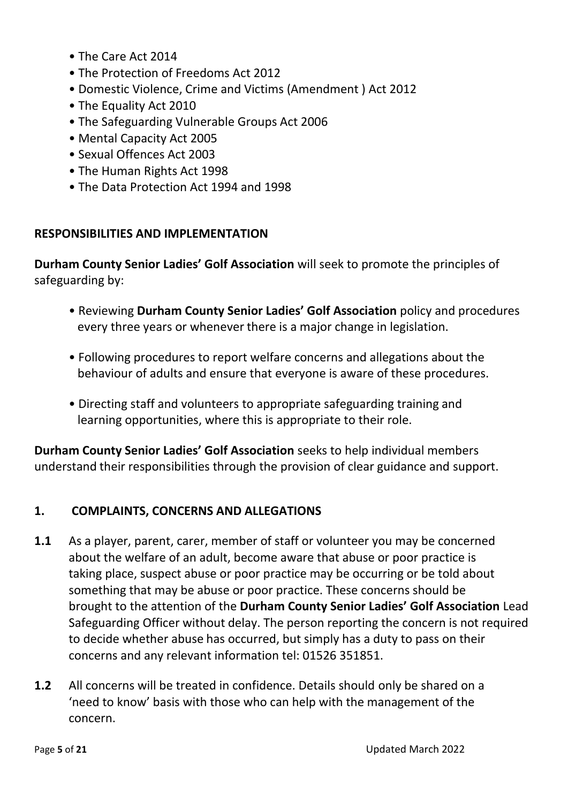- The Care Act 2014
- The Protection of Freedoms Act 2012
- Domestic Violence, Crime and Victims (Amendment ) Act 2012
- The Equality Act 2010
- The Safeguarding Vulnerable Groups Act 2006
- Mental Capacity Act 2005
- Sexual Offences Act 2003
- The Human Rights Act 1998
- The Data Protection Act 1994 and 1998

#### **RESPONSIBILITIES AND IMPLEMENTATION**

**Durham County Senior Ladies' Golf Association** will seek to promote the principles of safeguarding by:

- Reviewing **Durham County Senior Ladies' Golf Association** policy and procedures every three years or whenever there is a major change in legislation.
- Following procedures to report welfare concerns and allegations about the behaviour of adults and ensure that everyone is aware of these procedures.
- Directing staff and volunteers to appropriate safeguarding training and learning opportunities, where this is appropriate to their role.

**Durham County Senior Ladies' Golf Association** seeks to help individual members understand their responsibilities through the provision of clear guidance and support.

#### **1. COMPLAINTS, CONCERNS AND ALLEGATIONS**

- **1.1** As a player, parent, carer, member of staff or volunteer you may be concerned about the welfare of an adult, become aware that abuse or poor practice is taking place, suspect abuse or poor practice may be occurring or be told about something that may be abuse or poor practice. These concerns should be brought to the attention of the **Durham County Senior Ladies' Golf Association** Lead Safeguarding Officer without delay. The person reporting the concern is not required to decide whether abuse has occurred, but simply has a duty to pass on their concerns and any relevant information tel: 01526 351851.
- **1.2** All concerns will be treated in confidence. Details should only be shared on a 'need to know' basis with those who can help with the management of the concern.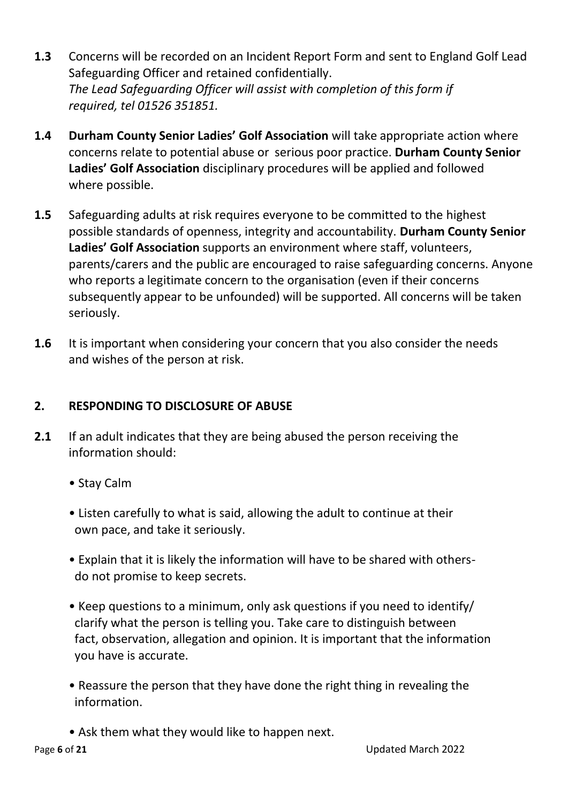- **1.3** Concerns will be recorded on an Incident Report Form and sent to England Golf Lead Safeguarding Officer and retained confidentially. *The Lead Safeguarding Officer will assist with completion of this form if required, tel 01526 351851.*
- **1.4 Durham County Senior Ladies' Golf Association** will take appropriate action where concerns relate to potential abuse or serious poor practice. **Durham County Senior Ladies' Golf Association** disciplinary procedures will be applied and followed where possible.
- **1.5** Safeguarding adults at risk requires everyone to be committed to the highest possible standards of openness, integrity and accountability. **Durham County Senior Ladies' Golf Association** supports an environment where staff, volunteers, parents/carers and the public are encouraged to raise safeguarding concerns. Anyone who reports a legitimate concern to the organisation (even if their concerns subsequently appear to be unfounded) will be supported. All concerns will be taken seriously.
- **1.6** It is important when considering your concern that you also consider the needs and wishes of the person at risk.

# **2. RESPONDING TO DISCLOSURE OF ABUSE**

- **2.1** If an adult indicates that they are being abused the person receiving the information should:
	- Stay Calm
	- Listen carefully to what is said, allowing the adult to continue at their own pace, and take it seriously.
	- Explain that it is likely the information will have to be shared with others do not promise to keep secrets.
	- Keep questions to a minimum, only ask questions if you need to identify/ clarify what the person is telling you. Take care to distinguish between fact, observation, allegation and opinion. It is important that the information you have is accurate.
	- Reassure the person that they have done the right thing in revealing the information.
	- Ask them what they would like to happen next.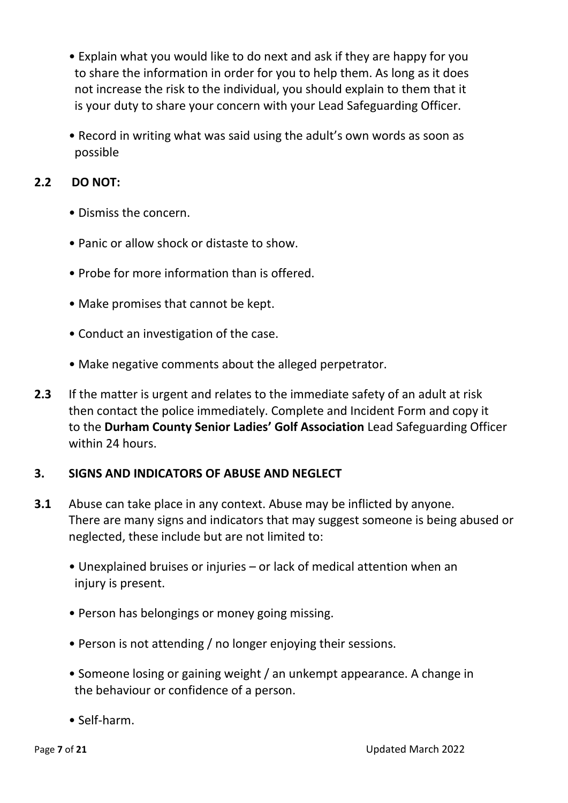- Explain what you would like to do next and ask if they are happy for you to share the information in order for you to help them. As long as it does not increase the risk to the individual, you should explain to them that it is your duty to share your concern with your Lead Safeguarding Officer.
- Record in writing what was said using the adult's own words as soon as possible

## **2.2 DO NOT:**

- Dismiss the concern.
- Panic or allow shock or distaste to show.
- Probe for more information than is offered.
- Make promises that cannot be kept.
- Conduct an investigation of the case.
- Make negative comments about the alleged perpetrator.
- **2.3** If the matter is urgent and relates to the immediate safety of an adult at risk then contact the police immediately. Complete and Incident Form and copy it to the **Durham County Senior Ladies' Golf Association** Lead Safeguarding Officer within 24 hours.

#### **3. SIGNS AND INDICATORS OF ABUSE AND NEGLECT**

- **3.1** Abuse can take place in any context. Abuse may be inflicted by anyone. There are many signs and indicators that may suggest someone is being abused or neglected, these include but are not limited to:
	- Unexplained bruises or injuries or lack of medical attention when an injury is present.
	- Person has belongings or money going missing.
	- Person is not attending / no longer enjoying their sessions.
	- Someone losing or gaining weight / an unkempt appearance. A change in the behaviour or confidence of a person.
	- Self-harm.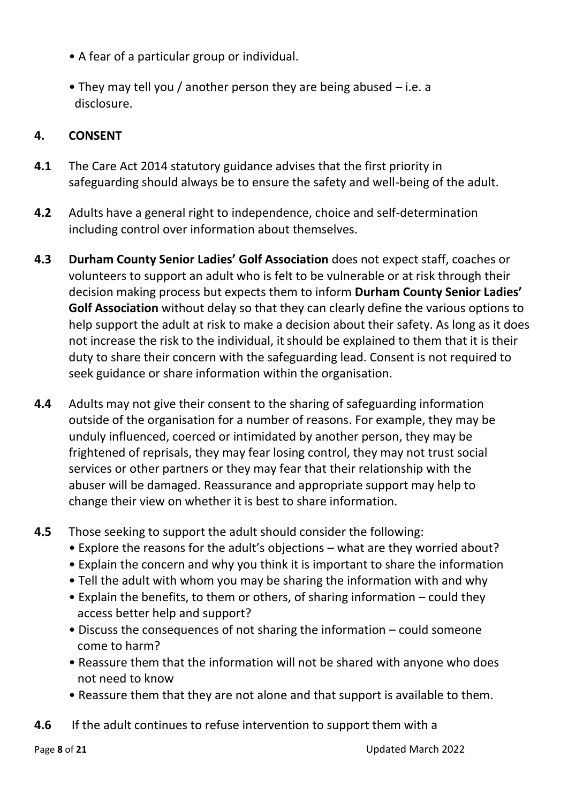- A fear of a particular group or individual.
- They may tell you / another person they are being abused i.e. a disclosure.

## **4. CONSENT**

- **4.1** The Care Act 2014 statutory guidance advises that the first priority in safeguarding should always be to ensure the safety and well-being of the adult.
- **4.2** Adults have a general right to independence, choice and self-determination including control over information about themselves.
- **4.3 Durham County Senior Ladies' Golf Association** does not expect staff, coaches or volunteers to support an adult who is felt to be vulnerable or at risk through their decision making process but expects them to inform **Durham County Senior Ladies' Golf Association** without delay so that they can clearly define the various options to help support the adult at risk to make a decision about their safety. As long as it does not increase the risk to the individual, it should be explained to them that it is their duty to share their concern with the safeguarding lead. Consent is not required to seek guidance or share information within the organisation.
- **4.4** Adults may not give their consent to the sharing of safeguarding information outside of the organisation for a number of reasons. For example, they may be unduly influenced, coerced or intimidated by another person, they may be frightened of reprisals, they may fear losing control, they may not trust social services or other partners or they may fear that their relationship with the abuser will be damaged. Reassurance and appropriate support may help to change their view on whether it is best to share information.
- **4.5** Those seeking to support the adult should consider the following:
	- Explore the reasons for the adult's objections what are they worried about?
	- Explain the concern and why you think it is important to share the information
	- Tell the adult with whom you may be sharing the information with and why
	- Explain the benefits, to them or others, of sharing information could they access better help and support?
	- Discuss the consequences of not sharing the information could someone come to harm?
	- Reassure them that the information will not be shared with anyone who does not need to know
	- Reassure them that they are not alone and that support is available to them.
- **4.6** If the adult continues to refuse intervention to support them with a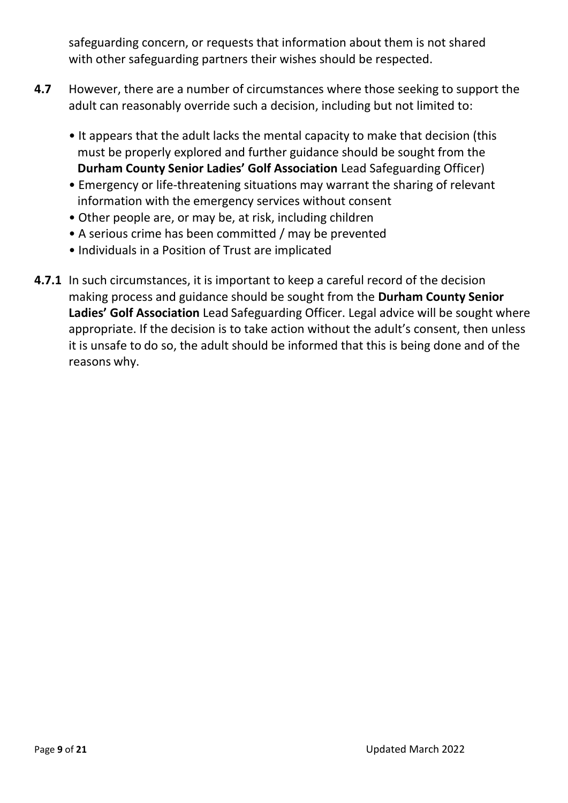safeguarding concern, or requests that information about them is not shared with other safeguarding partners their wishes should be respected.

- **4.7** However, there are a number of circumstances where those seeking to support the adult can reasonably override such a decision, including but not limited to:
	- It appears that the adult lacks the mental capacity to make that decision (this must be properly explored and further guidance should be sought from the **Durham County Senior Ladies' Golf Association** Lead Safeguarding Officer)
	- Emergency or life-threatening situations may warrant the sharing of relevant information with the emergency services without consent
	- Other people are, or may be, at risk, including children
	- A serious crime has been committed / may be prevented
	- Individuals in a Position of Trust are implicated
- **4.7.1** In such circumstances, it is important to keep a careful record of the decision making process and guidance should be sought from the **Durham County Senior Ladies' Golf Association** Lead Safeguarding Officer. Legal advice will be sought where appropriate. If the decision is to take action without the adult's consent, then unless it is unsafe to do so, the adult should be informed that this is being done and of the reasons why.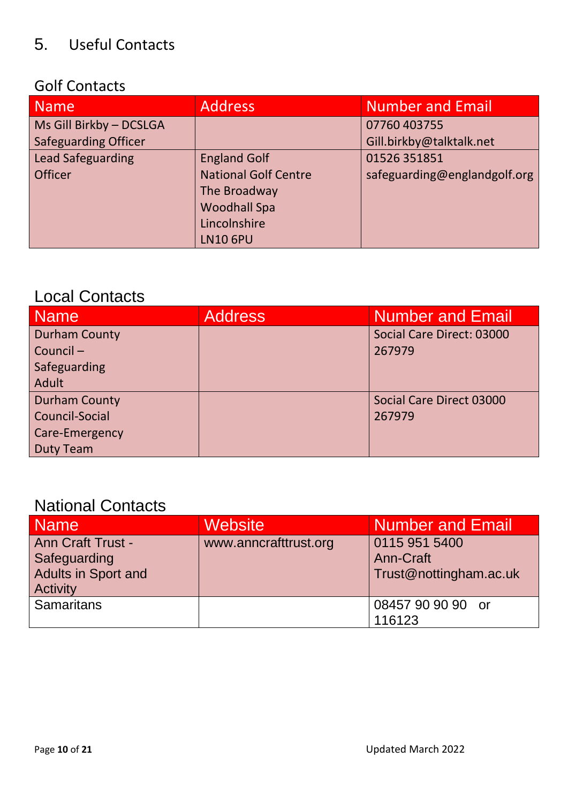# 5. Useful Contacts

# Golf Contacts

| <b>Name</b>                 | <b>Address</b>              | <b>Number and Email</b>      |
|-----------------------------|-----------------------------|------------------------------|
| Ms Gill Birkby - DCSLGA     |                             | 07760 403755                 |
| <b>Safeguarding Officer</b> |                             | Gill.birkby@talktalk.net     |
| <b>Lead Safeguarding</b>    | <b>England Golf</b>         | 01526 351851                 |
| <b>Officer</b>              | <b>National Golf Centre</b> | safeguarding@englandgolf.org |
|                             | The Broadway                |                              |
|                             | <b>Woodhall Spa</b>         |                              |
|                             | Lincolnshire                |                              |
|                             | <b>LN10 6PU</b>             |                              |

# Local Contacts

| Name                  | <b>Address</b> | <b>Number and Email</b>   |
|-----------------------|----------------|---------------------------|
| <b>Durham County</b>  |                | Social Care Direct: 03000 |
| Council-              |                | 267979                    |
| Safeguarding          |                |                           |
| Adult                 |                |                           |
| <b>Durham County</b>  |                | Social Care Direct 03000  |
| <b>Council-Social</b> |                | 267979                    |
| Care-Emergency        |                |                           |
| <b>Duty Team</b>      |                |                           |

# National Contacts

| <b>Name</b>                                                                               | <b>Website</b>        | <b>Number and Email</b>                              |
|-------------------------------------------------------------------------------------------|-----------------------|------------------------------------------------------|
| <b>Ann Craft Trust -</b><br>Safeguarding<br><b>Adults in Sport and</b><br><b>Activity</b> | www.anncrafttrust.org | 0115 951 5400<br>Ann-Craft<br>Trust@nottingham.ac.uk |
| <b>Samaritans</b>                                                                         |                       | 08457 90 90 90 or<br>116123                          |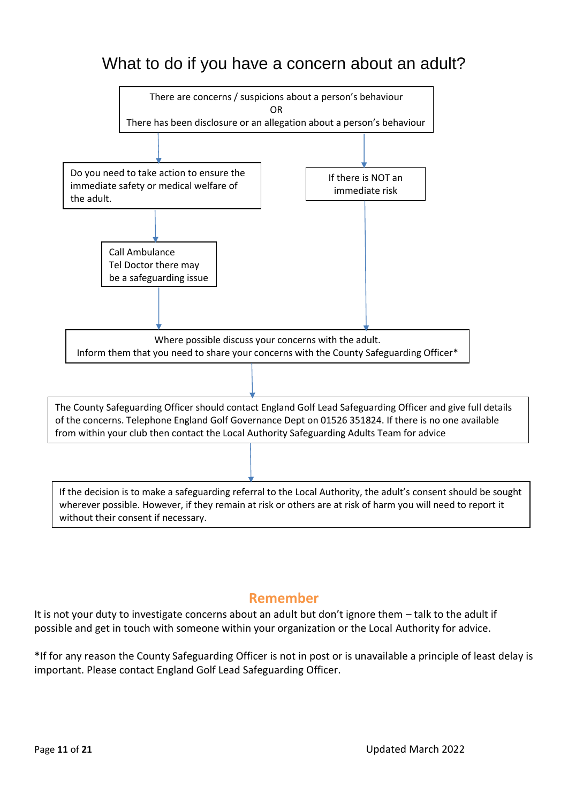# What to do if you have a concern about an adult?



# **Remember**

It is not your duty to investigate concerns about an adult but don't ignore them – talk to the adult if possible and get in touch with someone within your organization or the Local Authority for advice.

\*If for any reason the County Safeguarding Officer is not in post or is unavailable a principle of least delay is important. Please contact England Golf Lead Safeguarding Officer.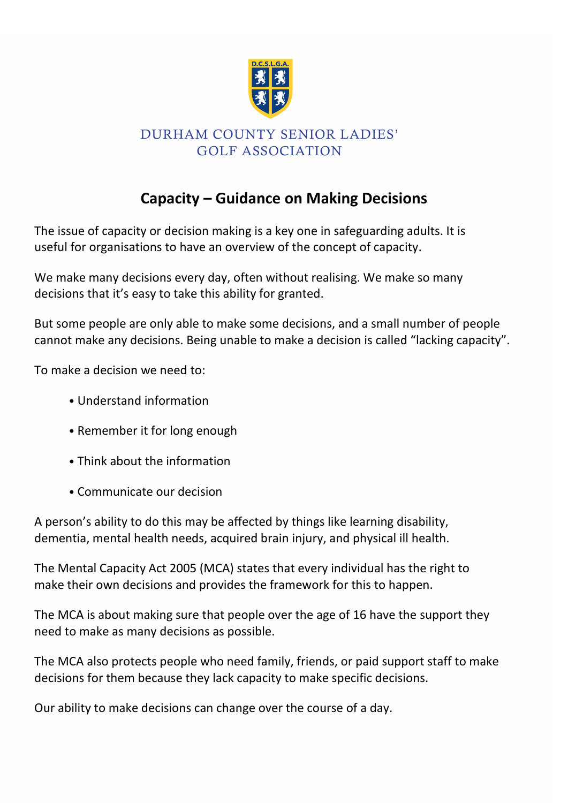

# **Capacity – Guidance on Making Decisions**

The issue of capacity or decision making is a key one in safeguarding adults. It is useful for organisations to have an overview of the concept of capacity.

We make many decisions every day, often without realising. We make so many decisions that it's easy to take this ability for granted.

But some people are only able to make some decisions, and a small number of people cannot make any decisions. Being unable to make a decision is called "lacking capacity".

To make a decision we need to:

- Understand information
- Remember it for long enough
- Think about the information
- Communicate our decision

A person's ability to do this may be affected by things like learning disability, dementia, mental health needs, acquired brain injury, and physical ill health.

The Mental Capacity Act 2005 (MCA) states that every individual has the right to make their own decisions and provides the framework for this to happen.

The MCA is about making sure that people over the age of 16 have the support they need to make as many decisions as possible.

The MCA also protects people who need family, friends, or paid support staff to make decisions for them because they lack capacity to make specific decisions.

Our ability to make decisions can change over the course of a day.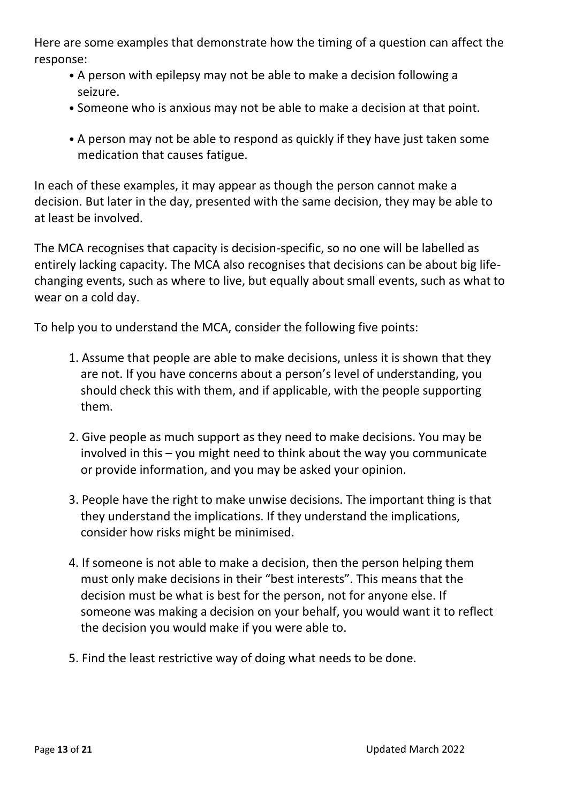Here are some examples that demonstrate how the timing of a question can affect the response:

- A person with epilepsy may not be able to make a decision following a seizure.
- Someone who is anxious may not be able to make a decision at that point.
- A person may not be able to respond as quickly if they have just taken some medication that causes fatigue.

In each of these examples, it may appear as though the person cannot make a decision. But later in the day, presented with the same decision, they may be able to at least be involved.

The MCA recognises that capacity is decision-specific, so no one will be labelled as entirely lacking capacity. The MCA also recognises that decisions can be about big lifechanging events, such as where to live, but equally about small events, such as what to wear on a cold day.

To help you to understand the MCA, consider the following five points:

- 1. Assume that people are able to make decisions, unless it is shown that they are not. If you have concerns about a person's level of understanding, you should check this with them, and if applicable, with the people supporting them.
- 2. Give people as much support as they need to make decisions. You may be involved in this – you might need to think about the way you communicate or provide information, and you may be asked your opinion.
- 3. People have the right to make unwise decisions. The important thing is that they understand the implications. If they understand the implications, consider how risks might be minimised.
- 4. If someone is not able to make a decision, then the person helping them must only make decisions in their "best interests". This means that the decision must be what is best for the person, not for anyone else. If someone was making a decision on your behalf, you would want it to reflect the decision you would make if you were able to.
- 5. Find the least restrictive way of doing what needs to be done.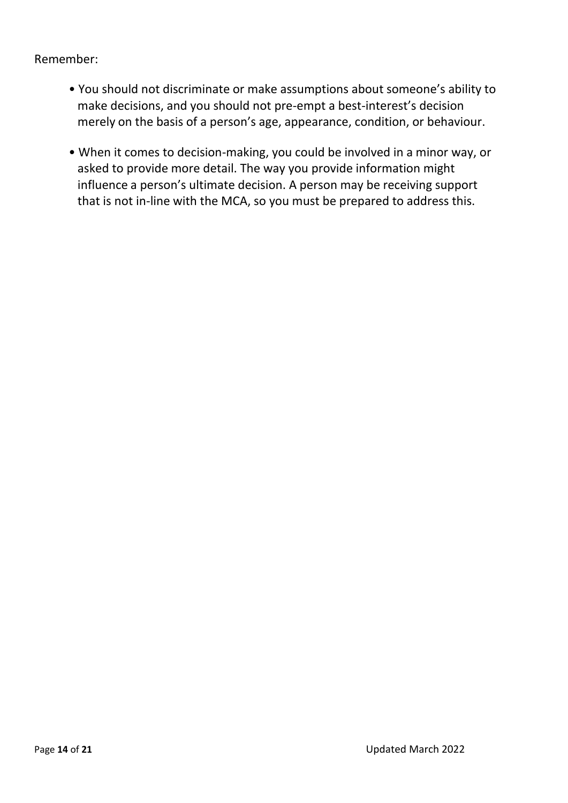Remember:

- You should not discriminate or make assumptions about someone's ability to make decisions, and you should not pre-empt a best-interest's decision merely on the basis of a person's age, appearance, condition, or behaviour.
- When it comes to decision-making, you could be involved in a minor way, or asked to provide more detail. The way you provide information might influence a person's ultimate decision. A person may be receiving support that is not in-line with the MCA, so you must be prepared to address this.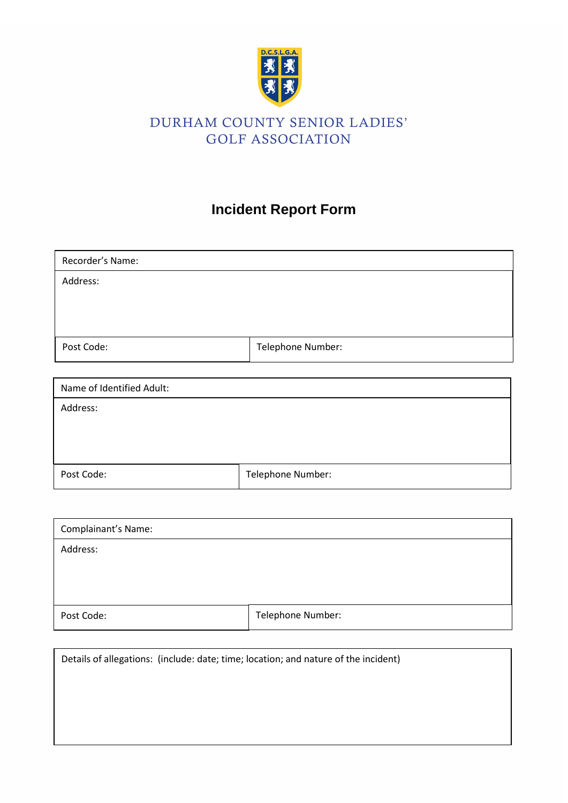

# **Incident Report Form**

| Recorder's Name: |                   |
|------------------|-------------------|
| Address:         |                   |
|                  |                   |
|                  |                   |
| Post Code:       | Telephone Number: |

| Name of Identified Adult: |                   |
|---------------------------|-------------------|
| Address:                  |                   |
|                           |                   |
|                           |                   |
| Post Code:                | Telephone Number: |

| Complainant's Name: |                   |
|---------------------|-------------------|
| Address:            |                   |
|                     |                   |
|                     |                   |
| Post Code:          | Telephone Number: |

Details of allegations: (include: date; time; location; and nature of the incident)

Page **15** of **21** Updated March 2022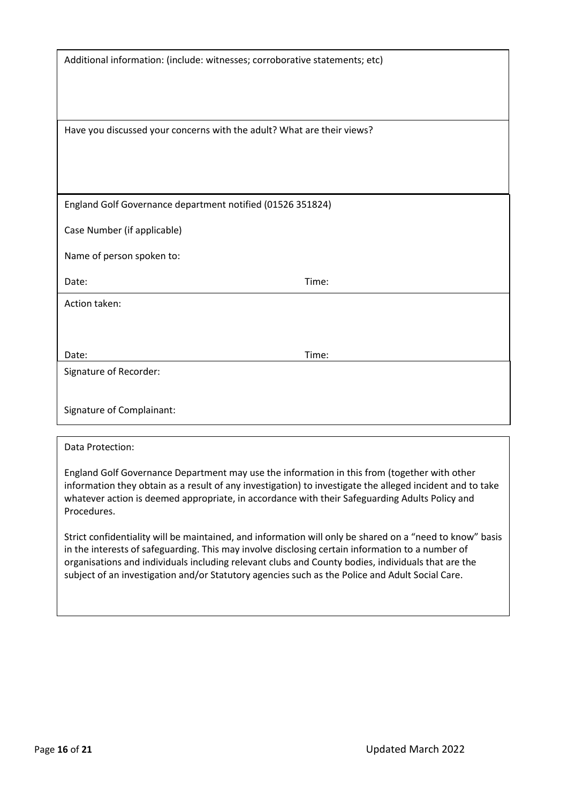| Additional information: (include: witnesses; corroborative statements; etc) |       |
|-----------------------------------------------------------------------------|-------|
| Have you discussed your concerns with the adult? What are their views?      |       |
| England Golf Governance department notified (01526 351824)                  |       |
| Case Number (if applicable)<br>Name of person spoken to:                    |       |
| Date:                                                                       | Time: |
| Action taken:                                                               |       |
| Date:                                                                       | Time: |
| Signature of Recorder:                                                      |       |
| Signature of Complainant:                                                   |       |

#### Data Protection:

England Golf Governance Department may use the information in this from (together with other information they obtain as a result of any investigation) to investigate the alleged incident and to take whatever action is deemed appropriate, in accordance with their Safeguarding Adults Policy and Procedures.

Strict confidentiality will be maintained, and information will only be shared on a "need to know" basis in the interests of safeguarding. This may involve disclosing certain information to a number of organisations and individuals including relevant clubs and County bodies, individuals that are the subject of an investigation and/or Statutory agencies such as the Police and Adult Social Care.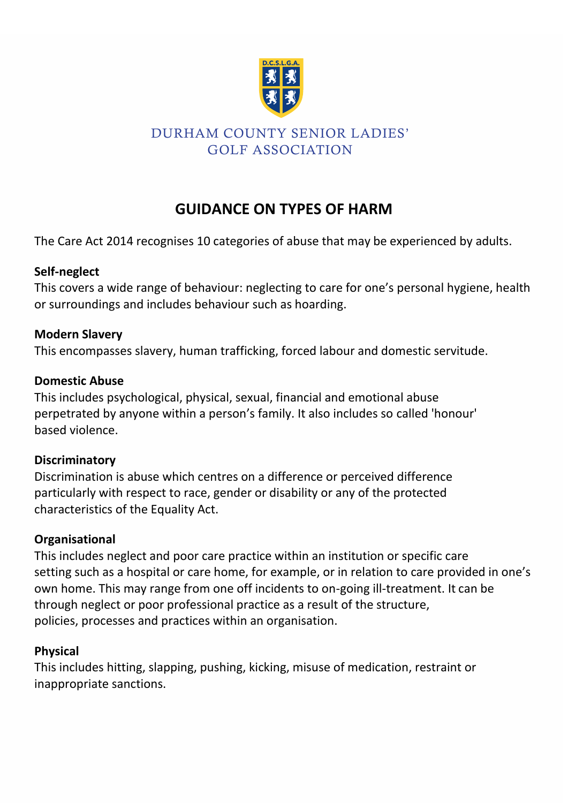

# **GUIDANCE ON TYPES OF HARM**

The Care Act 2014 recognises 10 categories of abuse that may be experienced by adults.

# **Self-neglect**

This covers a wide range of behaviour: neglecting to care for one's personal hygiene, health or surroundings and includes behaviour such as hoarding.

## **Modern Slavery**

This encompasses slavery, human trafficking, forced labour and domestic servitude.

#### **Domestic Abuse**

This includes psychological, physical, sexual, financial and emotional abuse perpetrated by anyone within a person's family. It also includes so called 'honour' based violence.

# **Discriminatory**

Discrimination is abuse which centres on a difference or perceived difference particularly with respect to race, gender or disability or any of the protected characteristics of the Equality Act.

# **Organisational**

This includes neglect and poor care practice within an institution or specific care setting such as a hospital or care home, for example, or in relation to care provided in one's own home. This may range from one off incidents to on-going ill-treatment. It can be through neglect or poor professional practice as a result of the structure, policies, processes and practices within an organisation.

# **Physical**

This includes hitting, slapping, pushing, kicking, misuse of medication, restraint or inappropriate sanctions.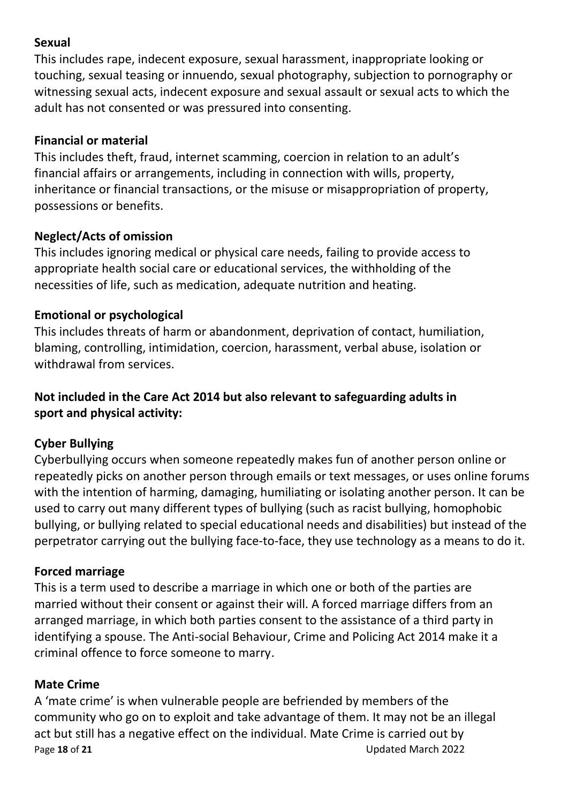## **Sexual**

This includes rape, indecent exposure, sexual harassment, inappropriate looking or touching, sexual teasing or innuendo, sexual photography, subjection to pornography or witnessing sexual acts, indecent exposure and sexual assault or sexual acts to which the adult has not consented or was pressured into consenting.

## **Financial or material**

This includes theft, fraud, internet scamming, coercion in relation to an adult's financial affairs or arrangements, including in connection with wills, property, inheritance or financial transactions, or the misuse or misappropriation of property, possessions or benefits.

## **Neglect/Acts of omission**

This includes ignoring medical or physical care needs, failing to provide access to appropriate health social care or educational services, the withholding of the necessities of life, such as medication, adequate nutrition and heating.

# **Emotional or psychological**

This includes threats of harm or abandonment, deprivation of contact, humiliation, blaming, controlling, intimidation, coercion, harassment, verbal abuse, isolation or withdrawal from services.

# **Not included in the Care Act 2014 but also relevant to safeguarding adults in sport and physical activity:**

# **Cyber Bullying**

Cyberbullying occurs when someone repeatedly makes fun of another person online or repeatedly picks on another person through emails or text messages, or uses online forums with the intention of harming, damaging, humiliating or isolating another person. It can be used to carry out many different types of bullying (such as racist bullying, homophobic bullying, or bullying related to special educational needs and disabilities) but instead of the perpetrator carrying out the bullying face-to-face, they use technology as a means to do it.

# **Forced marriage**

This is a term used to describe a marriage in which one or both of the parties are married without their consent or against their will. A forced marriage differs from an arranged marriage, in which both parties consent to the assistance of a third party in identifying a spouse. The Anti-social Behaviour, Crime and Policing Act 2014 make it a criminal offence to force someone to marry.

# **Mate Crime**

Page **18** of **21** Updated March 2022 A 'mate crime' is when vulnerable people are befriended by members of the community who go on to exploit and take advantage of them. It may not be an illegal act but still has a negative effect on the individual. Mate Crime is carried out by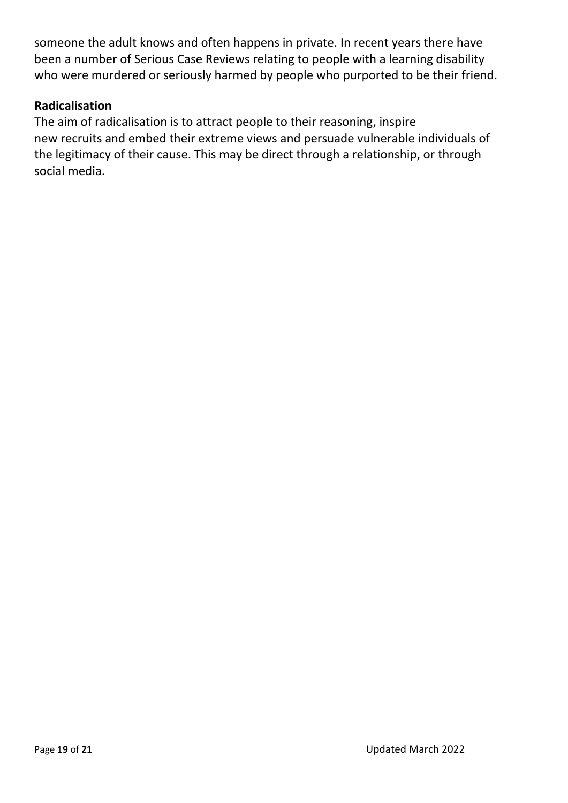someone the adult knows and often happens in private. In recent years there have been a number of Serious Case Reviews relating to people with a learning disability who were murdered or seriously harmed by people who purported to be their friend.

#### **Radicalisation**

The aim of radicalisation is to attract people to their reasoning, inspire new recruits and embed their extreme views and persuade vulnerable individuals of the legitimacy of their cause. This may be direct through a relationship, or through social media.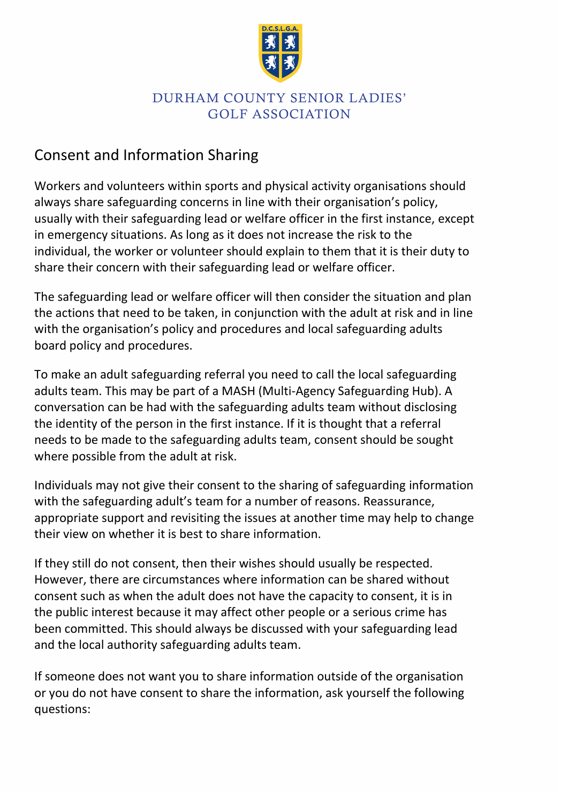

# Consent and Information Sharing

Workers and volunteers within sports and physical activity organisations should always share safeguarding concerns in line with their organisation's policy, usually with their safeguarding lead or welfare officer in the first instance, except in emergency situations. As long as it does not increase the risk to the individual, the worker or volunteer should explain to them that it is their duty to share their concern with their safeguarding lead or welfare officer.

The safeguarding lead or welfare officer will then consider the situation and plan the actions that need to be taken, in conjunction with the adult at risk and in line with the organisation's policy and procedures and local safeguarding adults board policy and procedures.

To make an adult safeguarding referral you need to call the local safeguarding adults team. This may be part of a MASH (Multi-Agency Safeguarding Hub). A conversation can be had with the safeguarding adults team without disclosing the identity of the person in the first instance. If it is thought that a referral needs to be made to the safeguarding adults team, consent should be sought where possible from the adult at risk.

Individuals may not give their consent to the sharing of safeguarding information with the safeguarding adult's team for a number of reasons. Reassurance, appropriate support and revisiting the issues at another time may help to change their view on whether it is best to share information.

If they still do not consent, then their wishes should usually be respected. However, there are circumstances where information can be shared without consent such as when the adult does not have the capacity to consent, it is in the public interest because it may affect other people or a serious crime has been committed. This should always be discussed with your safeguarding lead and the local authority safeguarding adults team.

If someone does not want you to share information outside of the organisation or you do not have consent to share the information, ask yourself the following questions: